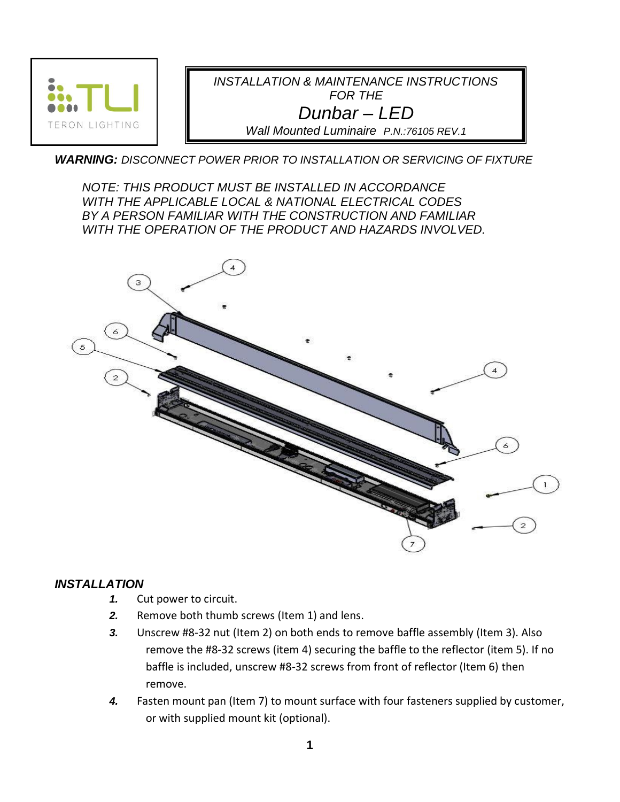

## *WARNING: DISCONNECT POWER PRIOR TO INSTALLATION OR SERVICING OF FIXTURE*

*NOTE: THIS PRODUCT MUST BE INSTALLED IN ACCORDANCE WITH THE APPLICABLE LOCAL & NATIONAL ELECTRICAL CODES BY A PERSON FAMILIAR WITH THE CONSTRUCTION AND FAMILIAR WITH THE OPERATION OF THE PRODUCT AND HAZARDS INVOLVED.*



## *INSTALLATION*

- *1.* Cut power to circuit.
- *2.* Remove both thumb screws (Item 1) and lens.
- *3.* Unscrew #8-32 nut (Item 2) on both ends to remove baffle assembly (Item 3). Also remove the #8-32 screws (item 4) securing the baffle to the reflector (item 5). If no baffle is included, unscrew #8-32 screws from front of reflector (Item 6) then remove.
- *4.* Fasten mount pan (Item 7) to mount surface with four fasteners supplied by customer, or with supplied mount kit (optional).